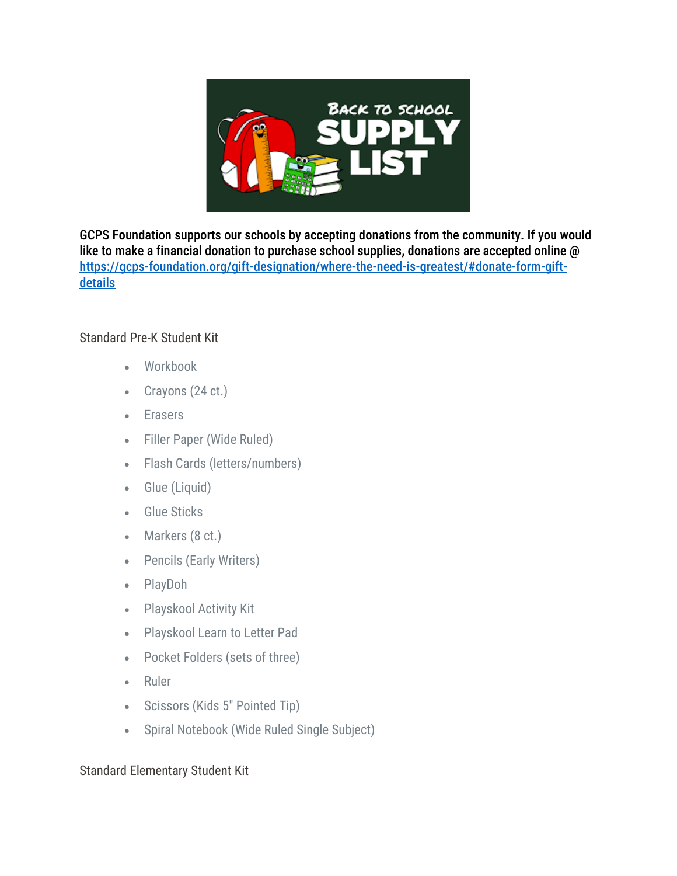

GCPS Foundation supports our schools by accepting donations from the community. If you would like to make a financial donation to purchase school supplies, donations are accepted online @ [https://gcps-foundation.org/gift-designation/where-the-need-is-greatest/#donate-form-gift](https://gcps-foundation.org/gift-designation/where-the-need-is-greatest/#donate-form-gift-details)[details](https://gcps-foundation.org/gift-designation/where-the-need-is-greatest/#donate-form-gift-details)

## Standard Pre-K Student Kit

- Workbook
- Crayons (24 ct.)
- Erasers
- Filler Paper (Wide Ruled)
- Flash Cards (letters/numbers)
- Glue (Liquid)
- Glue Sticks
- Markers (8 ct.)
- Pencils (Early Writers)
- PlayDoh
- Playskool Activity Kit
- Playskool Learn to Letter Pad
- Pocket Folders (sets of three)
- Ruler
- Scissors (Kids 5″ Pointed Tip)
- Spiral Notebook (Wide Ruled Single Subject)

## Standard Elementary Student Kit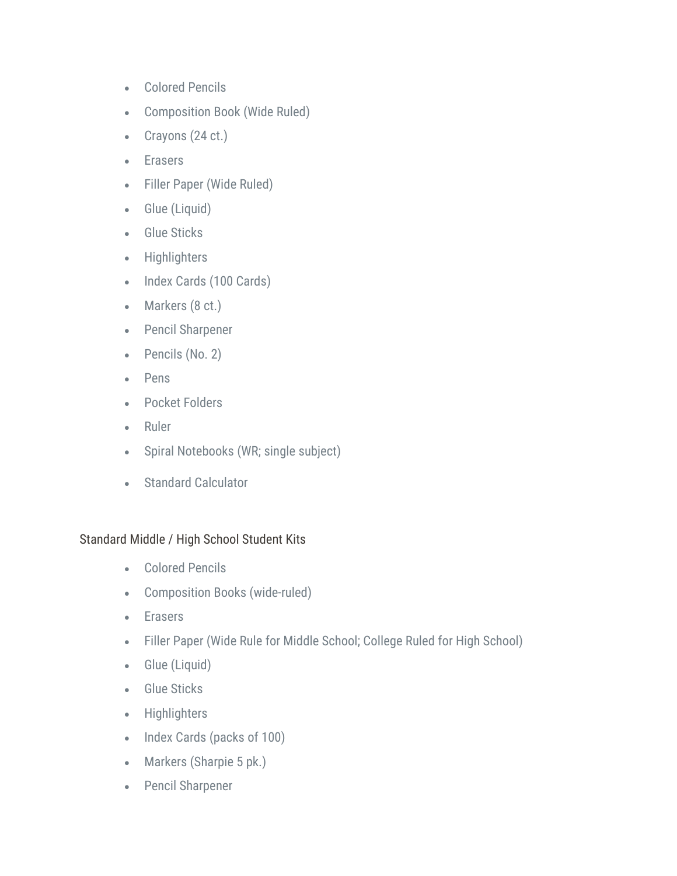- Colored Pencils
- Composition Book (Wide Ruled)
- Crayons (24 ct.)
- Erasers
- Filler Paper (Wide Ruled)
- Glue (Liquid)
- Glue Sticks
- Highlighters
- Index Cards (100 Cards)
- Markers (8 ct.)
- Pencil Sharpener
- Pencils (No. 2)
- Pens
- Pocket Folders
- Ruler
- Spiral Notebooks (WR; single subject)
- Standard Calculator

## Standard Middle / High School Student Kits

- Colored Pencils
- Composition Books (wide-ruled)
- Erasers
- Filler Paper (Wide Rule for Middle School; College Ruled for High School)
- Glue (Liquid)
- Glue Sticks
- Highlighters
- Index Cards (packs of 100)
- Markers (Sharpie 5 pk.)
- Pencil Sharpener